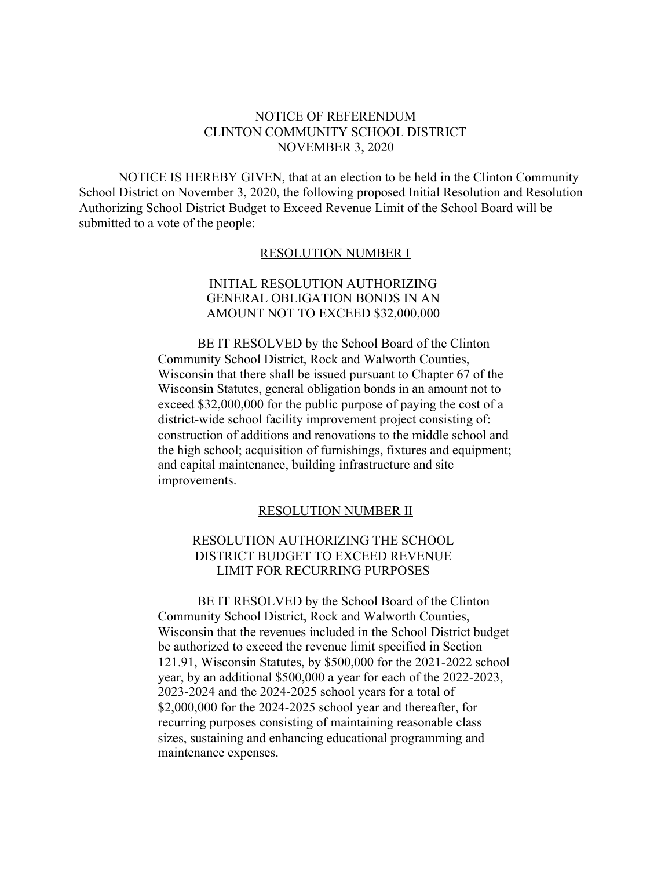#### NOTICE OF REFERENDUM CLINTON COMMUNITY SCHOOL DISTRICT NOVEMBER 3, 2020

NOTICE IS HEREBY GIVEN, that at an election to be held in the Clinton Community School District on November 3, 2020, the following proposed Initial Resolution and Resolution Authorizing School District Budget to Exceed Revenue Limit of the School Board will be submitted to a vote of the people:

#### RESOLUTION NUMBER I

#### INITIAL RESOLUTION AUTHORIZING GENERAL OBLIGATION BONDS IN AN AMOUNT NOT TO EXCEED \$32,000,000

BE IT RESOLVED by the School Board of the Clinton Community School District, Rock and Walworth Counties, Wisconsin that there shall be issued pursuant to Chapter 67 of the Wisconsin Statutes, general obligation bonds in an amount not to exceed \$32,000,000 for the public purpose of paying the cost of a district-wide school facility improvement project consisting of: construction of additions and renovations to the middle school and the high school; acquisition of furnishings, fixtures and equipment; and capital maintenance, building infrastructure and site improvements.

#### RESOLUTION NUMBER II

### RESOLUTION AUTHORIZING THE SCHOOL DISTRICT BUDGET TO EXCEED REVENUE LIMIT FOR RECURRING PURPOSES

BE IT RESOLVED by the School Board of the Clinton Community School District, Rock and Walworth Counties, Wisconsin that the revenues included in the School District budget be authorized to exceed the revenue limit specified in Section 121.91, Wisconsin Statutes, by \$500,000 for the 2021-2022 school year, by an additional \$500,000 a year for each of the 2022-2023, 2023-2024 and the 2024-2025 school years for a total of \$2,000,000 for the 2024-2025 school year and thereafter, for recurring purposes consisting of maintaining reasonable class sizes, sustaining and enhancing educational programming and maintenance expenses.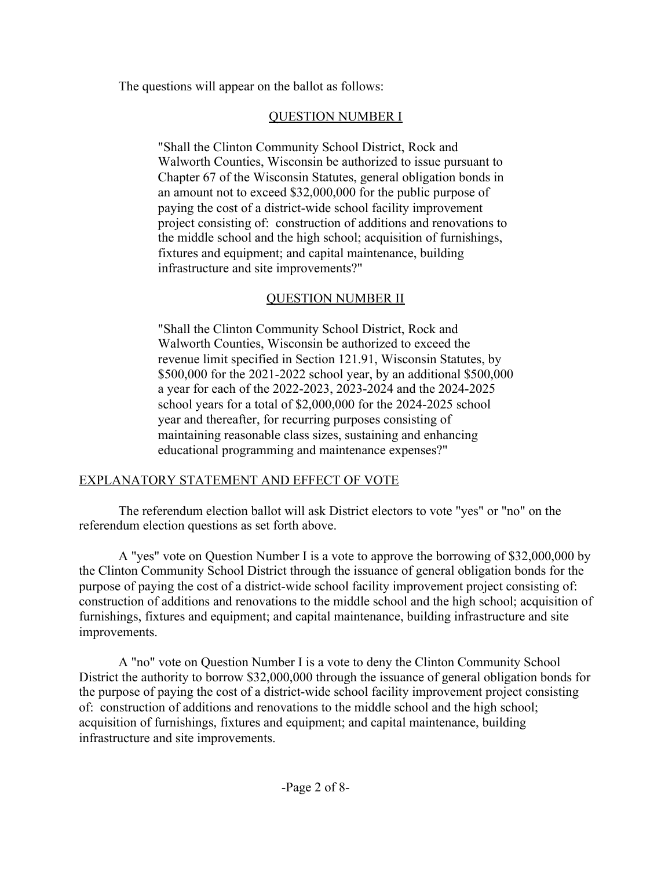The questions will appear on the ballot as follows:

## QUESTION NUMBER I

"Shall the Clinton Community School District, Rock and Walworth Counties, Wisconsin be authorized to issue pursuant to Chapter 67 of the Wisconsin Statutes, general obligation bonds in an amount not to exceed \$32,000,000 for the public purpose of paying the cost of a district-wide school facility improvement project consisting of: construction of additions and renovations to the middle school and the high school; acquisition of furnishings, fixtures and equipment; and capital maintenance, building infrastructure and site improvements?"

# QUESTION NUMBER II

"Shall the Clinton Community School District, Rock and Walworth Counties, Wisconsin be authorized to exceed the revenue limit specified in Section 121.91, Wisconsin Statutes, by \$500,000 for the 2021-2022 school year, by an additional \$500,000 a year for each of the 2022-2023, 2023-2024 and the 2024-2025 school years for a total of \$2,000,000 for the 2024-2025 school year and thereafter, for recurring purposes consisting of maintaining reasonable class sizes, sustaining and enhancing educational programming and maintenance expenses?"

# EXPLANATORY STATEMENT AND EFFECT OF VOTE

The referendum election ballot will ask District electors to vote "yes" or "no" on the referendum election questions as set forth above.

A "yes" vote on Question Number I is a vote to approve the borrowing of \$32,000,000 by the Clinton Community School District through the issuance of general obligation bonds for the purpose of paying the cost of a district-wide school facility improvement project consisting of: construction of additions and renovations to the middle school and the high school; acquisition of furnishings, fixtures and equipment; and capital maintenance, building infrastructure and site improvements.

A "no" vote on Question Number I is a vote to deny the Clinton Community School District the authority to borrow \$32,000,000 through the issuance of general obligation bonds for the purpose of paying the cost of a district-wide school facility improvement project consisting of: construction of additions and renovations to the middle school and the high school; acquisition of furnishings, fixtures and equipment; and capital maintenance, building infrastructure and site improvements.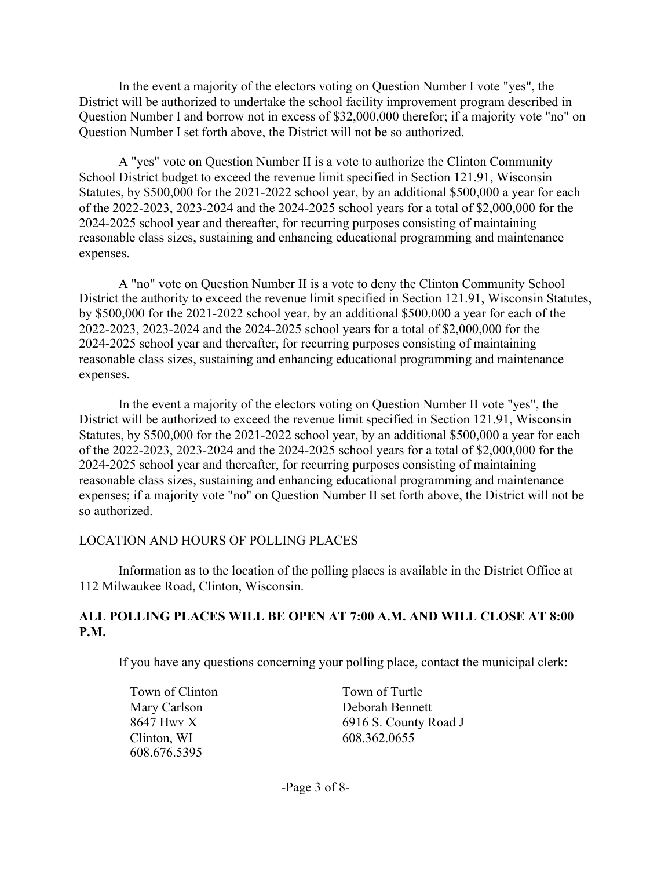In the event a majority of the electors voting on Question Number I vote "yes", the District will be authorized to undertake the school facility improvement program described in Question Number I and borrow not in excess of \$32,000,000 therefor; if a majority vote "no" on Question Number I set forth above, the District will not be so authorized.

A "yes" vote on Question Number II is a vote to authorize the Clinton Community School District budget to exceed the revenue limit specified in Section 121.91, Wisconsin Statutes, by \$500,000 for the 2021-2022 school year, by an additional \$500,000 a year for each of the 2022-2023, 2023-2024 and the 2024-2025 school years for a total of \$2,000,000 for the 2024-2025 school year and thereafter, for recurring purposes consisting of maintaining reasonable class sizes, sustaining and enhancing educational programming and maintenance expenses.

A "no" vote on Question Number II is a vote to deny the Clinton Community School District the authority to exceed the revenue limit specified in Section 121.91, Wisconsin Statutes, by \$500,000 for the 2021-2022 school year, by an additional \$500,000 a year for each of the 2022-2023, 2023-2024 and the 2024-2025 school years for a total of \$2,000,000 for the 2024-2025 school year and thereafter, for recurring purposes consisting of maintaining reasonable class sizes, sustaining and enhancing educational programming and maintenance expenses.

In the event a majority of the electors voting on Question Number II vote "yes", the District will be authorized to exceed the revenue limit specified in Section 121.91, Wisconsin Statutes, by \$500,000 for the 2021-2022 school year, by an additional \$500,000 a year for each of the 2022-2023, 2023-2024 and the 2024-2025 school years for a total of \$2,000,000 for the 2024-2025 school year and thereafter, for recurring purposes consisting of maintaining reasonable class sizes, sustaining and enhancing educational programming and maintenance expenses; if a majority vote "no" on Question Number II set forth above, the District will not be so authorized.

### LOCATION AND HOURS OF POLLING PLACES

Information as to the location of the polling places is available in the District Office at 112 Milwaukee Road, Clinton, Wisconsin.

### **ALL POLLING PLACES WILL BE OPEN AT 7:00 A.M. AND WILL CLOSE AT 8:00 P.M.**

If you have any questions concerning your polling place, contact the municipal clerk:

Town of Clinton Mary Carlson 8647 HWY X Clinton, WI 608.676.5395

Town of Turtle Deborah Bennett 6916 S. County Road J 608.362.0655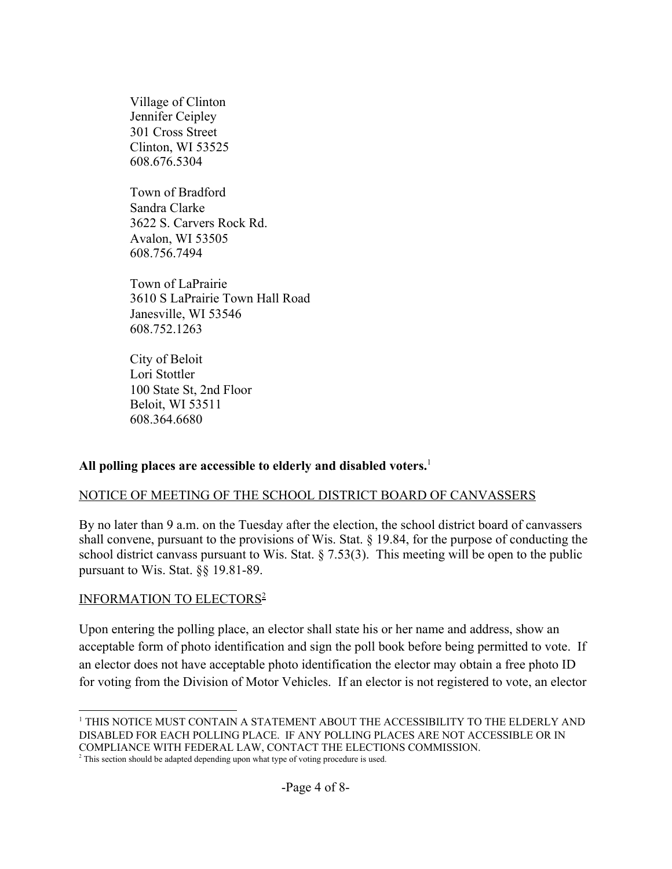Village of Clinton Jennifer Ceipley 301 Cross Street Clinton, WI 53525 608.676.5304

Town of Bradford Sandra Clarke 3622 S. Carvers Rock Rd. Avalon, WI 53505 608.756.7494

Town of LaPrairie 3610 S LaPrairie Town Hall Road Janesville, WI 53546 608.752.1263

City of Beloit Lori Stottler 100 State St, 2nd Floor Beloit, WI 53511 608.364.6680

### **All polling places are accessible to elderly and disabled voters.**<sup>1</sup>

### NOTICE OF MEETING OF THE SCHOOL DISTRICT BOARD OF CANVASSERS

By no later than 9 a.m. on the Tuesday after the election, the school district board of canvassers shall convene, pursuant to the provisions of Wis. Stat. § 19.84, for the purpose of conducting the school district canvass pursuant to Wis. Stat. § 7.53(3). This meeting will be open to the public pursuant to Wis. Stat. §§ 19.81-89.

### INFORMATION TO ELECTORS<sup>2</sup>

Upon entering the polling place, an elector shall state his or her name and address, show an acceptable form of photo identification and sign the poll book before being permitted to vote. If an elector does not have acceptable photo identification the elector may obtain a free photo ID for voting from the Division of Motor Vehicles. If an elector is not registered to vote, an elector

<sup>1</sup> THIS NOTICE MUST CONTAIN A STATEMENT ABOUT THE ACCESSIBILITY TO THE ELDERLY AND DISABLED FOR EACH POLLING PLACE. IF ANY POLLING PLACES ARE NOT ACCESSIBLE OR IN COMPLIANCE WITH FEDERAL LAW, CONTACT THE ELECTIONS COMMISSION.

 $2^2$  This section should be adapted depending upon what type of voting procedure is used.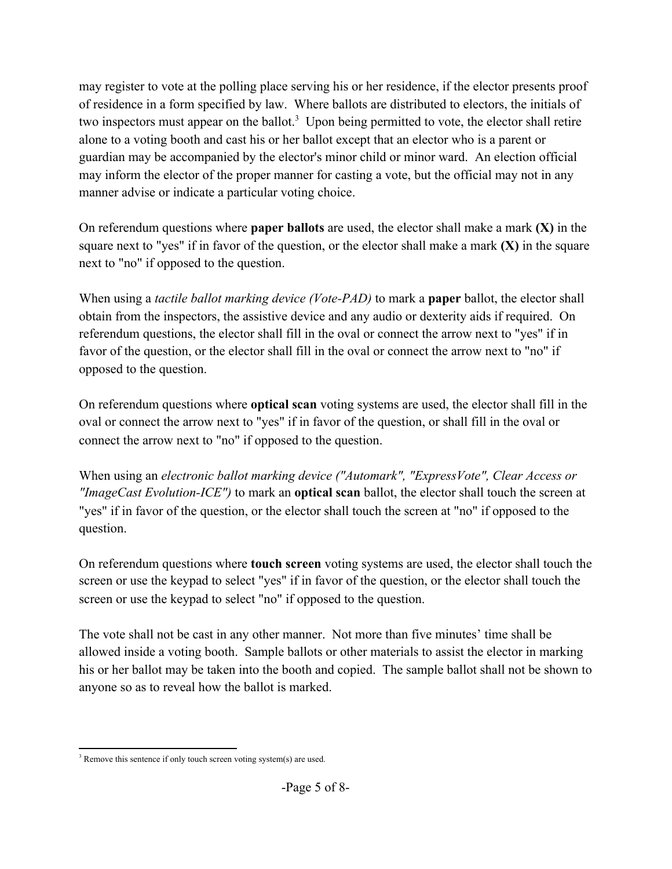may register to vote at the polling place serving his or her residence, if the elector presents proof of residence in a form specified by law. Where ballots are distributed to electors, the initials of two inspectors must appear on the ballot.<sup>3</sup> Upon being permitted to vote, the elector shall retire alone to a voting booth and cast his or her ballot except that an elector who is a parent or guardian may be accompanied by the elector's minor child or minor ward. An election official may inform the elector of the proper manner for casting a vote, but the official may not in any manner advise or indicate a particular voting choice.

On referendum questions where **paper ballots** are used, the elector shall make a mark **(X)** in the square next to "yes" if in favor of the question, or the elector shall make a mark **(X)** in the square next to "no" if opposed to the question.

When using a *tactile ballot marking device (Vote-PAD)* to mark a **paper** ballot, the elector shall obtain from the inspectors, the assistive device and any audio or dexterity aids if required. On referendum questions, the elector shall fill in the oval or connect the arrow next to "yes" if in favor of the question, or the elector shall fill in the oval or connect the arrow next to "no" if opposed to the question.

On referendum questions where **optical scan** voting systems are used, the elector shall fill in the oval or connect the arrow next to "yes" if in favor of the question, or shall fill in the oval or connect the arrow next to "no" if opposed to the question.

When using an *electronic ballot marking device ("Automark", "ExpressVote", Clear Access or "ImageCast Evolution-ICE")* to mark an **optical scan** ballot, the elector shall touch the screen at "yes" if in favor of the question, or the elector shall touch the screen at "no" if opposed to the question.

On referendum questions where **touch screen** voting systems are used, the elector shall touch the screen or use the keypad to select "yes" if in favor of the question, or the elector shall touch the screen or use the keypad to select "no" if opposed to the question.

The vote shall not be cast in any other manner. Not more than five minutes' time shall be allowed inside a voting booth. Sample ballots or other materials to assist the elector in marking his or her ballot may be taken into the booth and copied. The sample ballot shall not be shown to anyone so as to reveal how the ballot is marked.

<sup>&</sup>lt;sup>3</sup> Remove this sentence if only touch screen voting system(s) are used.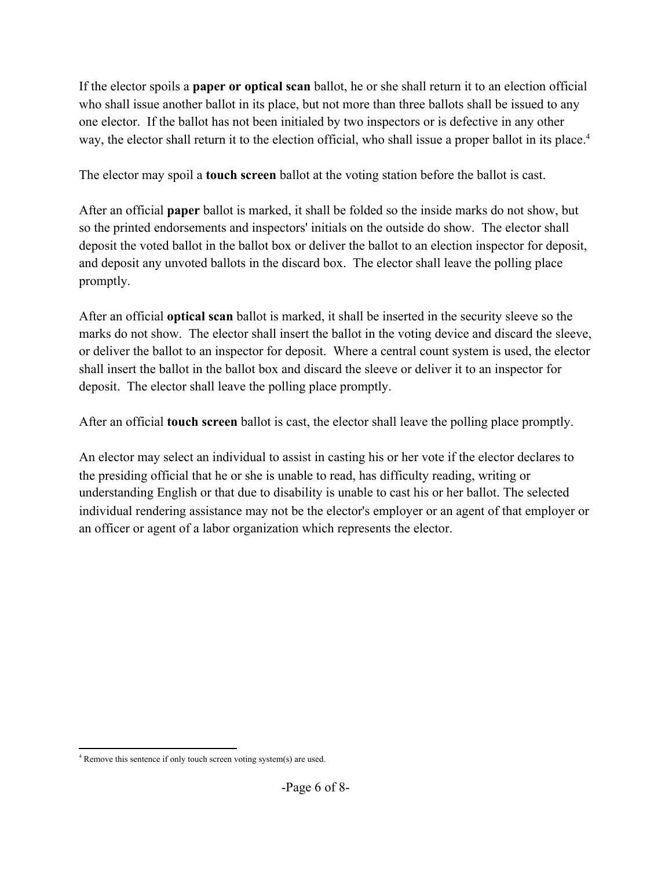If the elector spoils a **paper or optical scan** ballot, he or she shall return it to an election official who shall issue another ballot in its place, but not more than three ballots shall be issued to any one elector. If the ballot has not been initialed by two inspectors or is defective in any other way, the elector shall return it to the election official, who shall issue a proper ballot in its place.<sup>4</sup>

The elector may spoil a **touch screen** ballot at the voting station before the ballot is cast.

After an official **paper** ballot is marked, it shall be folded so the inside marks do not show, but so the printed endorsements and inspectors' initials on the outside do show. The elector shall deposit the voted ballot in the ballot box or deliver the ballot to an election inspector for deposit, and deposit any unvoted ballots in the discard box. The elector shall leave the polling place promptly.

After an official **optical scan** ballot is marked, it shall be inserted in the security sleeve so the marks do not show. The elector shall insert the ballot in the voting device and discard the sleeve, or deliver the ballot to an inspector for deposit. Where a central count system is used, the elector shall insert the ballot in the ballot box and discard the sleeve or deliver it to an inspector for deposit. The elector shall leave the polling place promptly.

After an official **touch screen** ballot is cast, the elector shall leave the polling place promptly.

An elector may select an individual to assist in casting his or her vote if the elector declares to the presiding official that he or she is unable to read, has difficulty reading, writing or understanding English or that due to disability is unable to cast his or her ballot. The selected individual rendering assistance may not be the elector's employer or an agent of that employer or an officer or agent of a labor organization which represents the elector.

<sup>4</sup> Remove this sentence if only touch screen voting system(s) are used.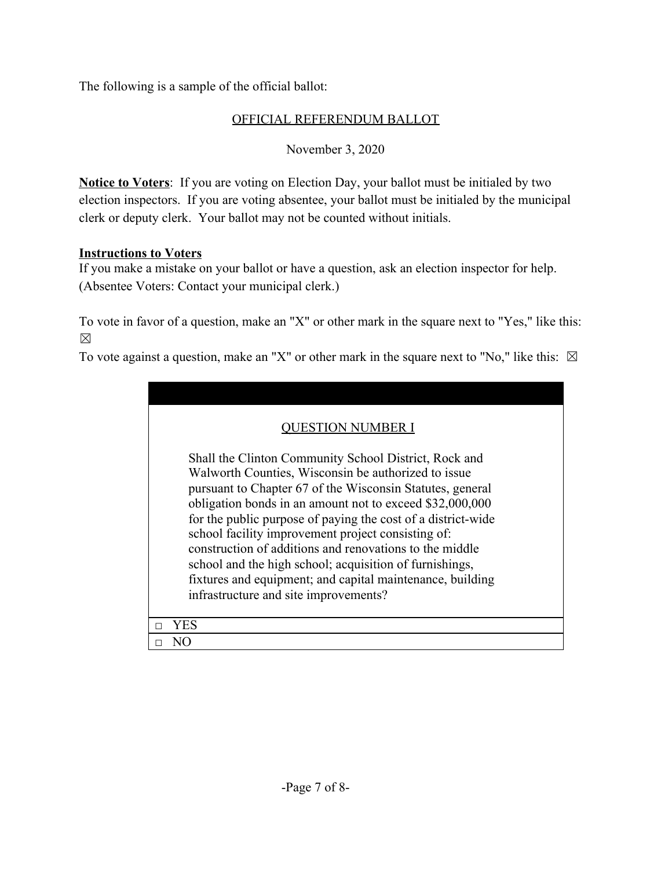The following is a sample of the official ballot:

## OFFICIAL REFERENDUM BALLOT

November 3, 2020

**Notice to Voters**: If you are voting on Election Day, your ballot must be initialed by two election inspectors. If you are voting absentee, your ballot must be initialed by the municipal clerk or deputy clerk. Your ballot may not be counted without initials.

## **Instructions to Voters**

If you make a mistake on your ballot or have a question, ask an election inspector for help. (Absentee Voters: Contact your municipal clerk.)

To vote in favor of a question, make an "X" or other mark in the square next to "Yes," like this: ☒

To vote against a question, make an "X" or other mark in the square next to "No," like this:  $\boxtimes$ 

| ESTION NUMBER I                                              |
|--------------------------------------------------------------|
| Shall the Clinton Community School District, Rock and        |
| Walworth Counties, Wisconsin be authorized to issue          |
| pursuant to Chapter 67 of the Wisconsin Statutes, general    |
| obligation bonds in an amount not to exceed \$32,000,000     |
| for the public purpose of paying the cost of a district-wide |
| school facility improvement project consisting of:           |
| construction of additions and renovations to the middle      |
| school and the high school; acquisition of furnishings,      |
| fixtures and equipment; and capital maintenance, building    |
| infrastructure and site improvements?                        |
|                                                              |
| YES                                                          |
| NО                                                           |
|                                                              |